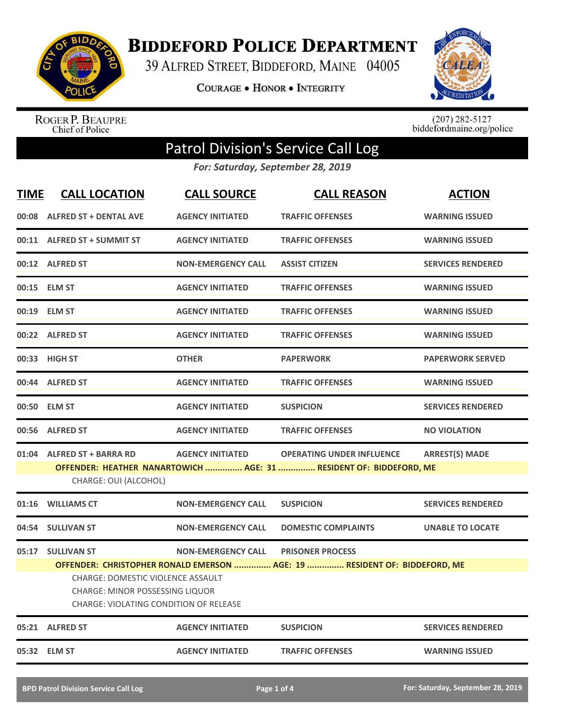

**BIDDEFORD POLICE DEPARTMENT** 

39 ALFRED STREET, BIDDEFORD, MAINE 04005

**COURAGE . HONOR . INTEGRITY** 



ROGER P. BEAUPRE<br>Chief of Police

 $(207)$  282-5127<br>biddefordmaine.org/police

## Patrol Division's Service Call Log

*For: Saturday, September 28, 2019*

| <b>TIME</b> | <b>CALL LOCATION</b>                                                             | <b>CALL SOURCE</b>        | <b>CALL REASON</b>                                                        | <b>ACTION</b>            |
|-------------|----------------------------------------------------------------------------------|---------------------------|---------------------------------------------------------------------------|--------------------------|
|             | 00:08 ALFRED ST + DENTAL AVE                                                     | <b>AGENCY INITIATED</b>   | <b>TRAFFIC OFFENSES</b>                                                   | <b>WARNING ISSUED</b>    |
|             | 00:11 ALFRED ST + SUMMIT ST                                                      | <b>AGENCY INITIATED</b>   | <b>TRAFFIC OFFENSES</b>                                                   | <b>WARNING ISSUED</b>    |
|             | 00:12 ALFRED ST                                                                  | <b>NON-EMERGENCY CALL</b> | <b>ASSIST CITIZEN</b>                                                     | <b>SERVICES RENDERED</b> |
|             | 00:15 ELM ST                                                                     | <b>AGENCY INITIATED</b>   | <b>TRAFFIC OFFENSES</b>                                                   | <b>WARNING ISSUED</b>    |
|             | 00:19 ELM ST                                                                     | <b>AGENCY INITIATED</b>   | <b>TRAFFIC OFFENSES</b>                                                   | <b>WARNING ISSUED</b>    |
|             | 00:22 ALFRED ST                                                                  | <b>AGENCY INITIATED</b>   | <b>TRAFFIC OFFENSES</b>                                                   | <b>WARNING ISSUED</b>    |
|             | 00:33 HIGH ST                                                                    | <b>OTHER</b>              | <b>PAPERWORK</b>                                                          | <b>PAPERWORK SERVED</b>  |
|             | 00:44 ALFRED ST                                                                  | <b>AGENCY INITIATED</b>   | <b>TRAFFIC OFFENSES</b>                                                   | <b>WARNING ISSUED</b>    |
|             | 00:50 ELM ST                                                                     | <b>AGENCY INITIATED</b>   | <b>SUSPICION</b>                                                          | <b>SERVICES RENDERED</b> |
|             | 00:56 ALFRED ST                                                                  | <b>AGENCY INITIATED</b>   | <b>TRAFFIC OFFENSES</b>                                                   | <b>NO VIOLATION</b>      |
|             | 01:04 ALFRED ST + BARRA RD                                                       | <b>AGENCY INITIATED</b>   | <b>OPERATING UNDER INFLUENCE</b>                                          | <b>ARREST(S) MADE</b>    |
|             | CHARGE: OUI (ALCOHOL)                                                            |                           | OFFENDER: HEATHER NANARTOWICH  AGE: 31  RESIDENT OF: BIDDEFORD, ME        |                          |
| 01:16       | <b>WILLIAMS CT</b>                                                               | <b>NON-EMERGENCY CALL</b> | <b>SUSPICION</b>                                                          | <b>SERVICES RENDERED</b> |
| 04:54       | <b>SULLIVAN ST</b>                                                               | <b>NON-EMERGENCY CALL</b> | <b>DOMESTIC COMPLAINTS</b>                                                | <b>UNABLE TO LOCATE</b>  |
|             | 05:17 SULLIVAN ST                                                                | <b>NON-EMERGENCY CALL</b> | <b>PRISONER PROCESS</b>                                                   |                          |
|             |                                                                                  |                           | OFFENDER: CHRISTOPHER RONALD EMERSON  AGE: 19  RESIDENT OF: BIDDEFORD, ME |                          |
|             | <b>CHARGE: DOMESTIC VIOLENCE ASSAULT</b>                                         |                           |                                                                           |                          |
|             | <b>CHARGE: MINOR POSSESSING LIQUOR</b><br>CHARGE: VIOLATING CONDITION OF RELEASE |                           |                                                                           |                          |
|             | 05:21 ALFRED ST                                                                  | <b>AGENCY INITIATED</b>   | <b>SUSPICION</b>                                                          | <b>SERVICES RENDERED</b> |
| 05:32       | <b>ELM ST</b>                                                                    | <b>AGENCY INITIATED</b>   | <b>TRAFFIC OFFENSES</b>                                                   | <b>WARNING ISSUED</b>    |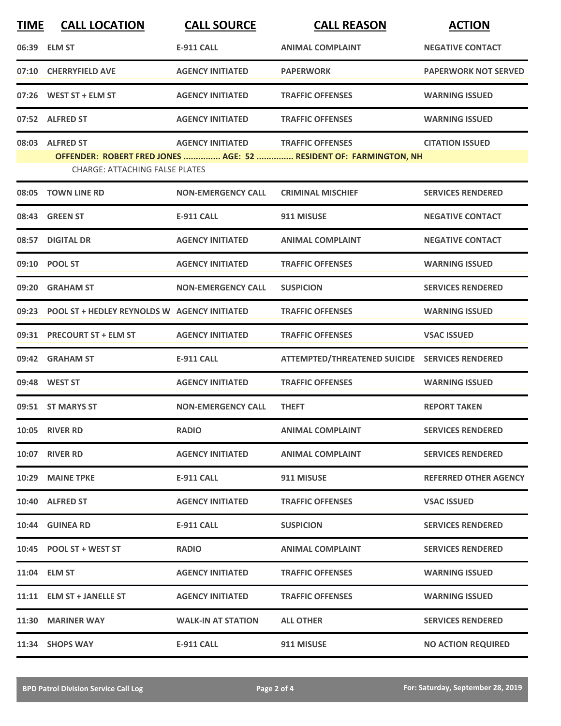| <b>TIME</b> | <b>CALL LOCATION</b>                                     | <b>CALL SOURCE</b>        | <b>CALL REASON</b>                                                                           | <b>ACTION</b>                |
|-------------|----------------------------------------------------------|---------------------------|----------------------------------------------------------------------------------------------|------------------------------|
|             | 06:39 ELM ST                                             | <b>E-911 CALL</b>         | <b>ANIMAL COMPLAINT</b>                                                                      | <b>NEGATIVE CONTACT</b>      |
|             | 07:10 CHERRYFIELD AVE                                    | <b>AGENCY INITIATED</b>   | <b>PAPERWORK</b>                                                                             | <b>PAPERWORK NOT SERVED</b>  |
| 07:26       | WEST ST + ELM ST                                         | <b>AGENCY INITIATED</b>   | <b>TRAFFIC OFFENSES</b>                                                                      | <b>WARNING ISSUED</b>        |
|             | 07:52 ALFRED ST                                          | <b>AGENCY INITIATED</b>   | <b>TRAFFIC OFFENSES</b>                                                                      | <b>WARNING ISSUED</b>        |
|             | 08:03 ALFRED ST<br><b>CHARGE: ATTACHING FALSE PLATES</b> | <b>AGENCY INITIATED</b>   | <b>TRAFFIC OFFENSES</b><br>OFFENDER: ROBERT FRED JONES  AGE: 52  RESIDENT OF: FARMINGTON, NH | <b>CITATION ISSUED</b>       |
|             | 08:05 TOWN LINE RD                                       | <b>NON-EMERGENCY CALL</b> | <b>CRIMINAL MISCHIEF</b>                                                                     | <b>SERVICES RENDERED</b>     |
| 08:43       | <b>GREEN ST</b>                                          | <b>E-911 CALL</b>         | 911 MISUSE                                                                                   | <b>NEGATIVE CONTACT</b>      |
|             | 08:57 DIGITAL DR                                         | <b>AGENCY INITIATED</b>   | <b>ANIMAL COMPLAINT</b>                                                                      | <b>NEGATIVE CONTACT</b>      |
|             | 09:10 POOL ST                                            | <b>AGENCY INITIATED</b>   | <b>TRAFFIC OFFENSES</b>                                                                      | <b>WARNING ISSUED</b>        |
| 09:20       | <b>GRAHAM ST</b>                                         | <b>NON-EMERGENCY CALL</b> | <b>SUSPICION</b>                                                                             | <b>SERVICES RENDERED</b>     |
|             | 09:23 POOL ST + HEDLEY REYNOLDS W AGENCY INITIATED       |                           | <b>TRAFFIC OFFENSES</b>                                                                      | <b>WARNING ISSUED</b>        |
|             | 09:31 PRECOURT ST + ELM ST                               | <b>AGENCY INITIATED</b>   | <b>TRAFFIC OFFENSES</b>                                                                      | <b>VSAC ISSUED</b>           |
|             | 09:42 GRAHAM ST                                          | <b>E-911 CALL</b>         | ATTEMPTED/THREATENED SUICIDE SERVICES RENDERED                                               |                              |
|             | 09:48 WEST ST                                            | <b>AGENCY INITIATED</b>   | <b>TRAFFIC OFFENSES</b>                                                                      | <b>WARNING ISSUED</b>        |
|             | 09:51 ST MARYS ST                                        | <b>NON-EMERGENCY CALL</b> | <b>THEFT</b>                                                                                 | <b>REPORT TAKEN</b>          |
|             | <b>10:05 RIVER RD</b>                                    | <b>RADIO</b>              | <b>ANIMAL COMPLAINT</b>                                                                      | <b>SERVICES RENDERED</b>     |
|             | 10:07 RIVER RD                                           | <b>AGENCY INITIATED</b>   | <b>ANIMAL COMPLAINT</b>                                                                      | <b>SERVICES RENDERED</b>     |
|             | 10:29 MAINE TPKE                                         | E-911 CALL                | 911 MISUSE                                                                                   | <b>REFERRED OTHER AGENCY</b> |
|             | 10:40 ALFRED ST                                          | <b>AGENCY INITIATED</b>   | <b>TRAFFIC OFFENSES</b>                                                                      | <b>VSAC ISSUED</b>           |
|             | 10:44 GUINEA RD                                          | <b>E-911 CALL</b>         | <b>SUSPICION</b>                                                                             | <b>SERVICES RENDERED</b>     |
|             | 10:45 POOL ST + WEST ST                                  | <b>RADIO</b>              | <b>ANIMAL COMPLAINT</b>                                                                      | <b>SERVICES RENDERED</b>     |
|             | 11:04 ELM ST                                             | <b>AGENCY INITIATED</b>   | <b>TRAFFIC OFFENSES</b>                                                                      | <b>WARNING ISSUED</b>        |
|             | 11:11 ELM ST + JANELLE ST                                | <b>AGENCY INITIATED</b>   | <b>TRAFFIC OFFENSES</b>                                                                      | <b>WARNING ISSUED</b>        |
|             | 11:30 MARINER WAY                                        | <b>WALK-IN AT STATION</b> | <b>ALL OTHER</b>                                                                             | <b>SERVICES RENDERED</b>     |
|             | 11:34 SHOPS WAY                                          | <b>E-911 CALL</b>         | 911 MISUSE                                                                                   | <b>NO ACTION REQUIRED</b>    |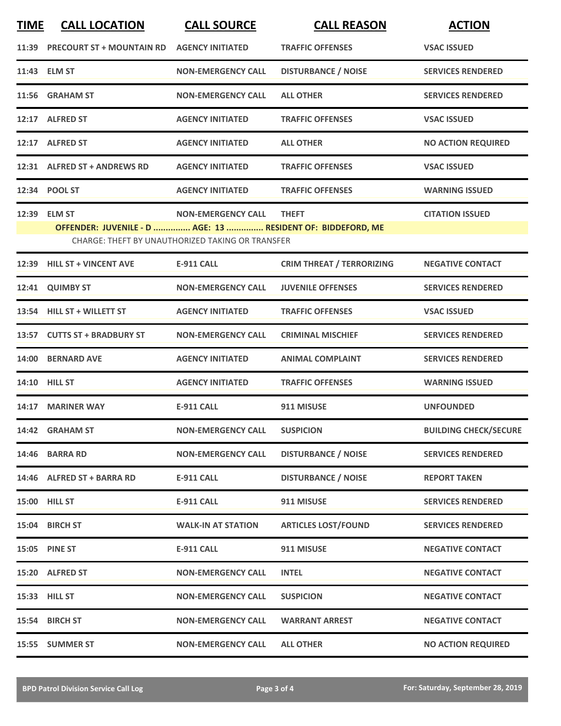| <b>TIME</b> | <b>CALL LOCATION</b>                                        | <b>CALL SOURCE</b>                               | <b>CALL REASON</b>               | <b>ACTION</b>                |
|-------------|-------------------------------------------------------------|--------------------------------------------------|----------------------------------|------------------------------|
|             | 11:39 PRECOURT ST + MOUNTAIN RD                             | <b>AGENCY INITIATED</b>                          | <b>TRAFFIC OFFENSES</b>          | <b>VSAC ISSUED</b>           |
|             | 11:43 ELM ST                                                | <b>NON-EMERGENCY CALL</b>                        | <b>DISTURBANCE / NOISE</b>       | <b>SERVICES RENDERED</b>     |
|             | 11:56 GRAHAM ST                                             | <b>NON-EMERGENCY CALL</b>                        | <b>ALL OTHER</b>                 | <b>SERVICES RENDERED</b>     |
|             | 12:17 ALFRED ST                                             | <b>AGENCY INITIATED</b>                          | <b>TRAFFIC OFFENSES</b>          | <b>VSAC ISSUED</b>           |
|             | 12:17 ALFRED ST                                             | <b>AGENCY INITIATED</b>                          | <b>ALL OTHER</b>                 | <b>NO ACTION REQUIRED</b>    |
|             | 12:31 ALFRED ST + ANDREWS RD                                | <b>AGENCY INITIATED</b>                          | <b>TRAFFIC OFFENSES</b>          | <b>VSAC ISSUED</b>           |
|             | 12:34 POOL ST                                               | <b>AGENCY INITIATED</b>                          | <b>TRAFFIC OFFENSES</b>          | <b>WARNING ISSUED</b>        |
|             | 12:39 ELM ST                                                | <b>NON-EMERGENCY CALL</b>                        | <b>THEFT</b>                     | <b>CITATION ISSUED</b>       |
|             | OFFENDER: JUVENILE - D  AGE: 13  RESIDENT OF: BIDDEFORD, ME |                                                  |                                  |                              |
|             |                                                             | CHARGE: THEFT BY UNAUTHORIZED TAKING OR TRANSFER |                                  |                              |
|             | 12:39 HILL ST + VINCENT AVE                                 | <b>E-911 CALL</b>                                | <b>CRIM THREAT / TERRORIZING</b> | <b>NEGATIVE CONTACT</b>      |
|             | 12:41 QUIMBY ST                                             | <b>NON-EMERGENCY CALL</b>                        | <b>JUVENILE OFFENSES</b>         | <b>SERVICES RENDERED</b>     |
|             | 13:54 HILL ST + WILLETT ST                                  | <b>AGENCY INITIATED</b>                          | <b>TRAFFIC OFFENSES</b>          | <b>VSAC ISSUED</b>           |
|             | 13:57 CUTTS ST + BRADBURY ST                                | <b>NON-EMERGENCY CALL</b>                        | <b>CRIMINAL MISCHIEF</b>         | <b>SERVICES RENDERED</b>     |
|             | 14:00 BERNARD AVE                                           | <b>AGENCY INITIATED</b>                          | <b>ANIMAL COMPLAINT</b>          | <b>SERVICES RENDERED</b>     |
|             | <b>14:10 HILL ST</b>                                        | <b>AGENCY INITIATED</b>                          | <b>TRAFFIC OFFENSES</b>          | <b>WARNING ISSUED</b>        |
|             | 14:17 MARINER WAY                                           | <b>E-911 CALL</b>                                | 911 MISUSE                       | <b>UNFOUNDED</b>             |
|             | 14:42 GRAHAM ST                                             | <b>NON-EMERGENCY CALL</b>                        | <b>SUSPICION</b>                 | <b>BUILDING CHECK/SECURE</b> |
|             | 14:46 BARRA RD                                              | <b>NON-EMERGENCY CALL</b>                        | <b>DISTURBANCE / NOISE</b>       | <b>SERVICES RENDERED</b>     |
|             | 14:46 ALFRED ST + BARRA RD                                  | <b>E-911 CALL</b>                                | <b>DISTURBANCE / NOISE</b>       | <b>REPORT TAKEN</b>          |
|             | 15:00 HILL ST                                               | E-911 CALL                                       | 911 MISUSE                       | <b>SERVICES RENDERED</b>     |
|             | 15:04 BIRCH ST                                              | <b>WALK-IN AT STATION</b>                        | <b>ARTICLES LOST/FOUND</b>       | <b>SERVICES RENDERED</b>     |
|             | 15:05 PINE ST                                               | <b>E-911 CALL</b>                                | 911 MISUSE                       | <b>NEGATIVE CONTACT</b>      |
|             | 15:20 ALFRED ST                                             | <b>NON-EMERGENCY CALL</b>                        | <b>INTEL</b>                     | <b>NEGATIVE CONTACT</b>      |
|             | 15:33 HILL ST                                               | <b>NON-EMERGENCY CALL</b>                        | <b>SUSPICION</b>                 | <b>NEGATIVE CONTACT</b>      |
|             | 15:54 BIRCH ST                                              | <b>NON-EMERGENCY CALL</b>                        | <b>WARRANT ARREST</b>            | <b>NEGATIVE CONTACT</b>      |
|             | 15:55 SUMMER ST                                             | <b>NON-EMERGENCY CALL</b>                        | <b>ALL OTHER</b>                 | <b>NO ACTION REQUIRED</b>    |